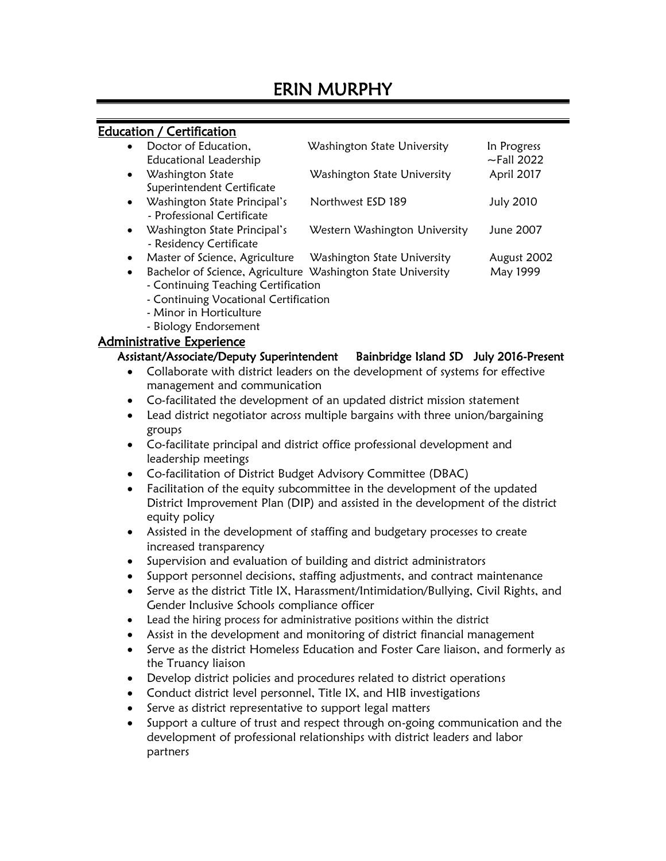## Education / Certification

| $\bullet$ | Doctor of Education,<br>Educational Leadership             | Washington State University   | In Progress<br>$\sim$ Fall 2022 |
|-----------|------------------------------------------------------------|-------------------------------|---------------------------------|
| $\bullet$ | Washington State<br>Superintendent Certificate             | Washington State University   | April 2017                      |
| $\bullet$ | Washington State Principal's<br>- Professional Certificate | Northwest ESD 189             | <b>July 2010</b>                |
| $\bullet$ | Washington State Principal's<br>- Residency Certificate    | Western Washington University | June 2007                       |
| $\bullet$ | Master of Science, Agriculture                             | Washington State University   | August 2002                     |

• Bachelor of Science, Agriculture Washington State University May 1999

- Continuing Teaching Certification
- Continuing Vocational Certification
- Minor in Horticulture
- Biology Endorsement

### Administrative Experience

### Assistant/Associate/Deputy Superintendent Bainbridge Island SD July 2016-Present

- Collaborate with district leaders on the development of systems for effective management and communication
- Co-facilitated the development of an updated district mission statement
- Lead district negotiator across multiple bargains with three union/bargaining groups
- Co-facilitate principal and district office professional development and leadership meetings
- Co-facilitation of District Budget Advisory Committee (DBAC)
- Facilitation of the equity subcommittee in the development of the updated District Improvement Plan (DIP) and assisted in the development of the district equity policy
- Assisted in the development of staffing and budgetary processes to create increased transparency
- Supervision and evaluation of building and district administrators
- Support personnel decisions, staffing adjustments, and contract maintenance
- Serve as the district Title IX, Harassment/Intimidation/Bullying, Civil Rights, and Gender Inclusive Schools compliance officer
- Lead the hiring process for administrative positions within the district
- Assist in the development and monitoring of district financial management
- Serve as the district Homeless Education and Foster Care liaison, and formerly as the Truancy liaison
- Develop district policies and procedures related to district operations
- Conduct district level personnel, Title IX, and HIB investigations
- Serve as district representative to support legal matters
- Support a culture of trust and respect through on-going communication and the development of professional relationships with district leaders and labor partners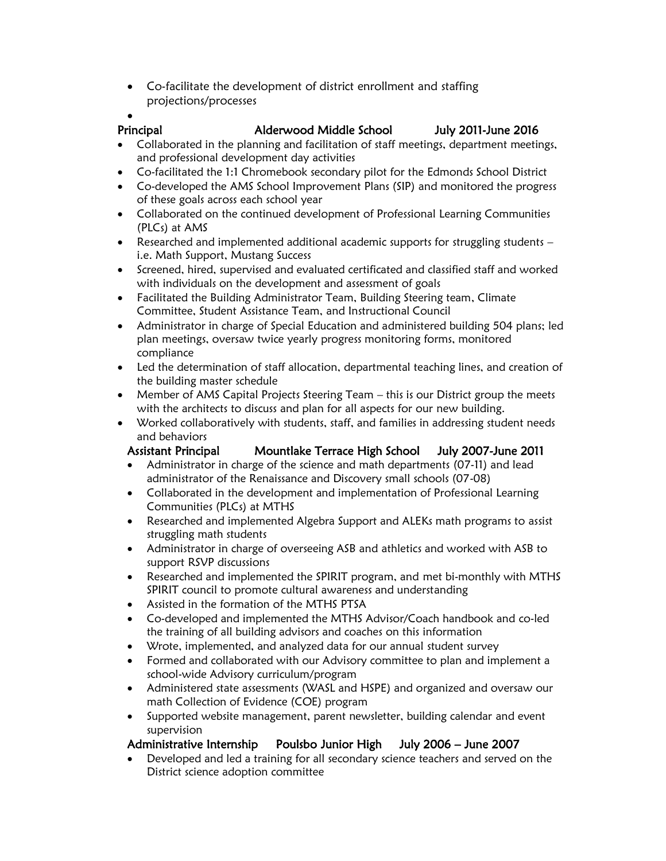• Co-facilitate the development of district enrollment and staffing projections/processes

### •

### Principal Alderwood Middle School July 2011-June 2016

- Collaborated in the planning and facilitation of staff meetings, department meetings, and professional development day activities
- Co-facilitated the 1:1 Chromebook secondary pilot for the Edmonds School District
- Co-developed the AMS School Improvement Plans (SIP) and monitored the progress of these goals across each school year
- Collaborated on the continued development of Professional Learning Communities (PLCs) at AMS
- Researched and implemented additional academic supports for struggling students i.e. Math Support, Mustang Success
- Screened, hired, supervised and evaluated certificated and classified staff and worked with individuals on the development and assessment of goals
- Facilitated the Building Administrator Team, Building Steering team, Climate Committee, Student Assistance Team, and Instructional Council
- Administrator in charge of Special Education and administered building 504 plans; led plan meetings, oversaw twice yearly progress monitoring forms, monitored compliance
- Led the determination of staff allocation, departmental teaching lines, and creation of the building master schedule
- Member of AMS Capital Projects Steering Team this is our District group the meets with the architects to discuss and plan for all aspects for our new building.
- Worked collaboratively with students, staff, and families in addressing student needs and behaviors

# Assistant Principal Mountlake Terrace High School July 2007-June 2011

- Administrator in charge of the science and math departments (07-11) and lead administrator of the Renaissance and Discovery small schools (07-08)
- Collaborated in the development and implementation of Professional Learning Communities (PLCs) at MTHS
- Researched and implemented Algebra Support and ALEKs math programs to assist struggling math students
- Administrator in charge of overseeing ASB and athletics and worked with ASB to support RSVP discussions
- Researched and implemented the SPIRIT program, and met bi-monthly with MTHS SPIRIT council to promote cultural awareness and understanding
- Assisted in the formation of the MTHS PTSA
- Co-developed and implemented the MTHS Advisor/Coach handbook and co-led the training of all building advisors and coaches on this information
- Wrote, implemented, and analyzed data for our annual student survey
- Formed and collaborated with our Advisory committee to plan and implement a school-wide Advisory curriculum/program
- Administered state assessments (WASL and HSPE) and organized and oversaw our math Collection of Evidence (COE) program
- Supported website management, parent newsletter, building calendar and event supervision

# Administrative Internship Poulsbo Junior High July 2006 – June 2007

• Developed and led a training for all secondary science teachers and served on the District science adoption committee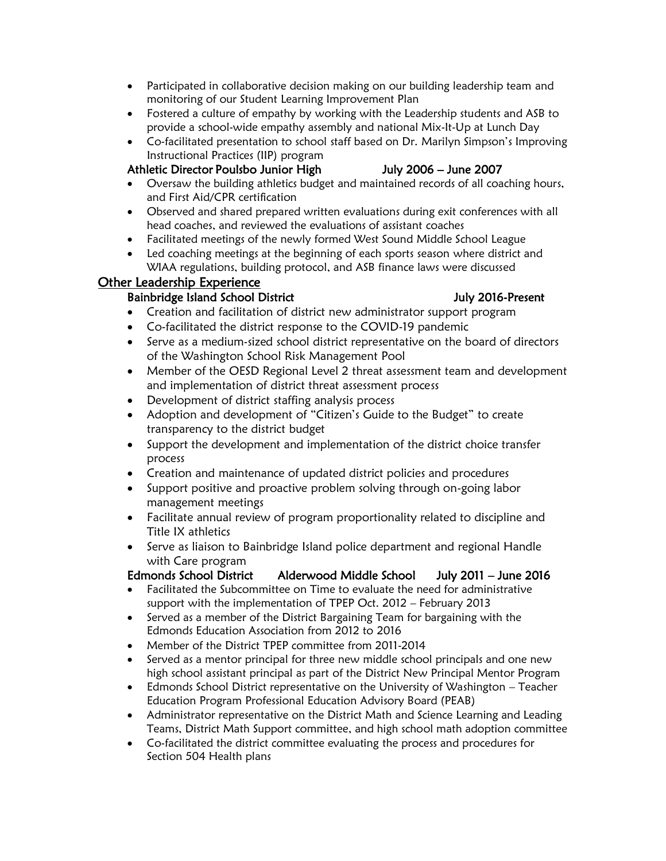- Participated in collaborative decision making on our building leadership team and monitoring of our Student Learning Improvement Plan
- Fostered a culture of empathy by working with the Leadership students and ASB to provide a school-wide empathy assembly and national Mix-It-Up at Lunch Day
- Co-facilitated presentation to school staff based on Dr. Marilyn Simpson's Improving Instructional Practices (IIP) program

## Athletic Director Poulsbo Junior High July 2006 – June 2007

- Oversaw the building athletics budget and maintained records of all coaching hours, and First Aid/CPR certification
- Observed and shared prepared written evaluations during exit conferences with all head coaches, and reviewed the evaluations of assistant coaches
- Facilitated meetings of the newly formed West Sound Middle School League
- Led coaching meetings at the beginning of each sports season where district and WIAA regulations, building protocol, and ASB finance laws were discussed

## Other Leadership Experience

# Bainbridge Island School District **Annual School School School School** Buly 2016-Present

- Creation and facilitation of district new administrator support program
- Co-facilitated the district response to the COVID-19 pandemic
- Serve as a medium-sized school district representative on the board of directors of the Washington School Risk Management Pool
- Member of the OESD Regional Level 2 threat assessment team and development and implementation of district threat assessment process
- Development of district staffing analysis process
- Adoption and development of "Citizen's Guide to the Budget" to create transparency to the district budget
- Support the development and implementation of the district choice transfer process
- Creation and maintenance of updated district policies and procedures
- Support positive and proactive problem solving through on-going labor management meetings
- Facilitate annual review of program proportionality related to discipline and Title IX athletics
- Serve as liaison to Bainbridge Island police department and regional Handle with Care program

# Edmonds School District Alderwood Middle School July 2011 – June 2016

- Facilitated the Subcommittee on Time to evaluate the need for administrative support with the implementation of TPEP Oct. 2012 – February 2013
- Served as a member of the District Bargaining Team for bargaining with the Edmonds Education Association from 2012 to 2016
- Member of the District TPEP committee from 2011-2014
- Served as a mentor principal for three new middle school principals and one new high school assistant principal as part of the District New Principal Mentor Program
- Edmonds School District representative on the University of Washington Teacher Education Program Professional Education Advisory Board (PEAB)
- Administrator representative on the District Math and Science Learning and Leading Teams, District Math Support committee, and high school math adoption committee
- Co-facilitated the district committee evaluating the process and procedures for Section 504 Health plans